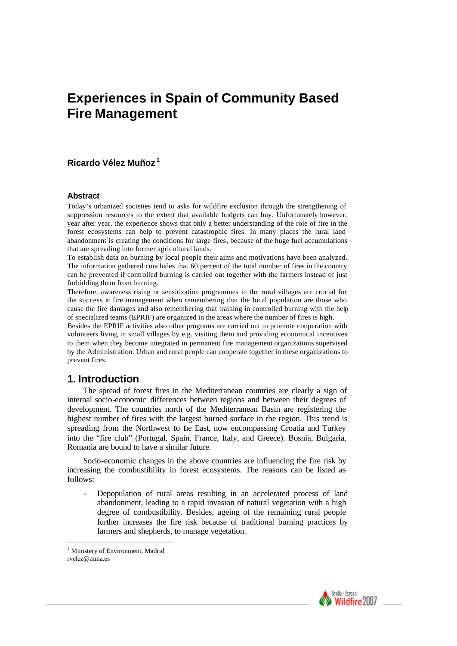# **Experiences in Spain of Community Based Fire Management**

# **Ricardo Vélez Muñoz <sup>1</sup>**

### **Abstract**

Today's urbanized societies tend to asks for wildfire exclusion through the strengthening of suppression resources to the extent that available budgets can buy. Unfortunately however, year after year, the experience shows that only a better understanding of the role of fire in the forest ecosystems can help to prevent catastrophic fires. In many places the rural land abandonment is creating the conditions for large fires, because of the huge fuel accumulations that are spreading into former agricultural lands.

To establish data on burning by local people their aims and motivations have been analyzed. The information gathered concludes that 60 percent of the total number of fires in the country can be prevented if controlled burning is carried out together with the farmers instead of just forbidding them from burning.

Therefore, awareness rising or sensitization programmes in the rural villages are crucial for the success in fire management when remembering that the local population are those who cause the fire damages and also remembering that training in controlled burning with the help of specialized teams (EPRIF) are organized in the areas where the number of fires is high.

Besides the EPRIF activities also other programs are carried out to promote cooperation with volunteers living in small villages by e.g. visiting them and providing economical incentives to them when they become integrated in permanent fire management organizations supervised by the Administration. Urban and rural people can cooperate together in these organizations to prevent fires.

# **1. Introduction**

The spread of forest fires in the Mediterranean countries are clearly a sign of internal socio-economic differences between regions and between their degrees of development. The countries north of the Mediterranean Basin are registering the highest number of fires with the largest burned surface in the region. This trend is spreading from the Northwest to the East, now encompassing Croatia and Turkey into the "fire club" (Portugal, Spain, France, Italy, and Greece). Bosnia, Bulgaria, Romania are bound to have a similar future.

Socio-economic changes in the above countries are influencing the fire risk by increasing the combustibility in forest ecosystems. The reasons can be listed as follows:

Depopulation of rural areas resulting in an accelerated process of land abandonment, leading to a rapid invasion of natural vegetation with a high degree of combustibility. Besides, ageing of the remaining rural people further increases the fire risk because of traditional burning practices by farmers and shepherds, to manage vegetation.



<sup>&</sup>lt;sup>1</sup> Ministery of Environment, Madrid

rvelez@mma.es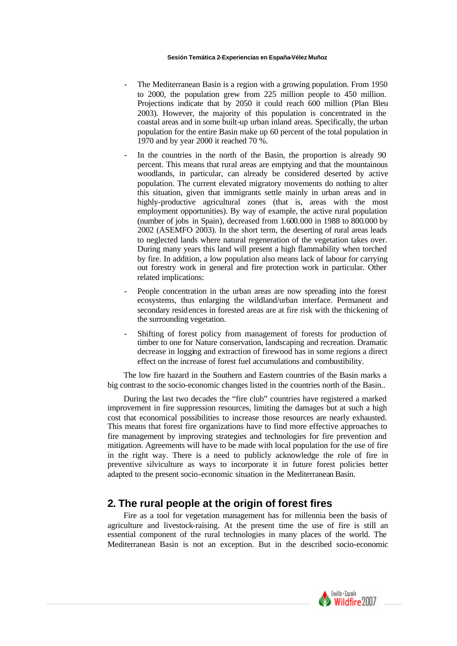- The Mediterranean Basin is a region with a growing population. From 1950 to 2000, the population grew from 225 million people to 450 million. Projections indicate that by 2050 it could reach 600 million (Plan Bleu 2003). However, the majority of this population is concentrated in the coastal areas and in some built-up urban inland areas. Specifically, the urban population for the entire Basin make up 60 percent of the total population in 1970 and by year 2000 it reached 70 %.
- In the countries in the north of the Basin, the proportion is already 90 percent. This means that rural areas are emptying and that the mountainous woodlands, in particular, can already be considered deserted by active population. The current elevated migratory movements do nothing to alter this situation, given that immigrants settle mainly in urban areas and in highly-productive agricultural zones (that is, areas with the most employment opportunities). By way of example, the active rural population (number of jobs in Spain), decreased from 1.600.000 in 1988 to 800.000 by 2002 (ASEMFO 2003). In the short term, the deserting of rural areas leads to neglected lands where natural regeneration of the vegetation takes over. During many years this land will present a high flammability when torched by fire. In addition, a low population also means lack of labour for carrying out forestry work in general and fire protection work in particular. Other related implications:
- People concentration in the urban areas are now spreading into the forest ecosystems, thus enlarging the wildland/urban interface. Permanent and secondary residences in forested areas are at fire risk with the thickening of the surrounding vegetation.
- Shifting of forest policy from management of forests for production of timber to one for Nature conservation, landscaping and recreation. Dramatic decrease in logging and extraction of firewood has in some regions a direct effect on the increase of forest fuel accumulations and combustibility.

The low fire hazard in the Southern and Eastern countries of the Basin marks a big contrast to the socio-economic changes listed in the countries north of the Basin..

During the last two decades the "fire club" countries have registered a marked improvement in fire suppression resources, limiting the damages but at such a high cost that economical possibilities to increase those resources are nearly exhausted. This means that forest fire organizations have to find more effective approaches to fire management by improving strategies and technologies for fire prevention and mitigation. Agreements will have to be made with local population for the use of fire in the right way. There is a need to publicly acknowledge the role of fire in preventive silviculture as ways to incorporate it in future forest policies better adapted to the present socio-economic situation in the Mediterranean Basin.

# **2. The rural people at the origin of forest fires**

Fire as a tool for vegetation management has for millennia been the basis of agriculture and livestock-raising. At the present time the use of fire is still an essential component of the rural technologies in many places of the world. The Mediterranean Basin is not an exception. But in the described socio-economic

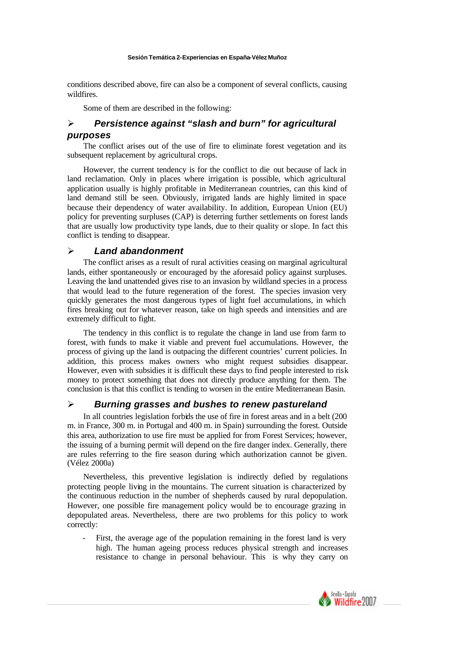conditions described above, fire can also be a component of several conflicts, causing wildfires.

Some of them are described in the following:

# ÿ *Persistence against "slash and burn" for agricultural*

# *purposes*

The conflict arises out of the use of fire to eliminate forest vegetation and its subsequent replacement by agricultural crops.

However, the current tendency is for the conflict to die out because of lack in land reclamation. Only in places where irrigation is possible, which agricultural application usually is highly profitable in Mediterranean countries, can this kind of land demand still be seen. Obviously, irrigated lands are highly limited in space because their dependency of water availability. In addition, European Union (EU) policy for preventing surpluses (CAP) is deterring further settlements on forest lands that are usually low productivity type lands, due to their quality or slope. In fact this conflict is tending to disappear.

# ÿ *Land abandonment*

The conflict arises as a result of rural activities ceasing on marginal agricultural lands, either spontaneously or encouraged by the aforesaid policy against surpluses. Leaving the land unattended gives rise to an invasion by wildland species in a process that would lead to the future regeneration of the forest. The species invasion very quickly generates the most dangerous types of light fuel accumulations, in which fires breaking out for whatever reason, take on high speeds and intensities and are extremely difficult to fight.

The tendency in this conflict is to regulate the change in land use from farm to forest, with funds to make it viable and prevent fuel accumulations. However, the process of giving up the land is outpacing the different countries' current policies. In addition, this process makes owners who might request subsidies disappear. However, even with subsidies it is difficult these days to find people interested to risk money to protect something that does not directly produce anything for them. The conclusion is that this conflict is tending to worsen in the entire Mediterranean Basin.

## ÿ *Burning grasses and bushes to renew pastureland*

In all countries legislation forbids the use of fire in forest areas and in a belt (200 m. in France, 300 m. in Portugal and 400 m. in Spain) surrounding the forest. Outside this area, authorization to use fire must be applied for from Forest Services; however, the issuing of a burning permit will depend on the fire danger index. Generally, there are rules referring to the fire season during which authorization cannot be given. (Vélez 2000a)

Nevertheless, this preventive legislation is indirectly defied by regulations protecting people living in the mountains. The current situation is characterized by the continuous reduction in the number of shepherds caused by rural depopulation. However, one possible fire management policy would be to encourage grazing in depopulated areas. Nevertheless, there are two problems for this policy to work correctly:

First, the average age of the population remaining in the forest land is very high. The human ageing process reduces physical strength and increases resistance to change in personal behaviour. This is why they carry on

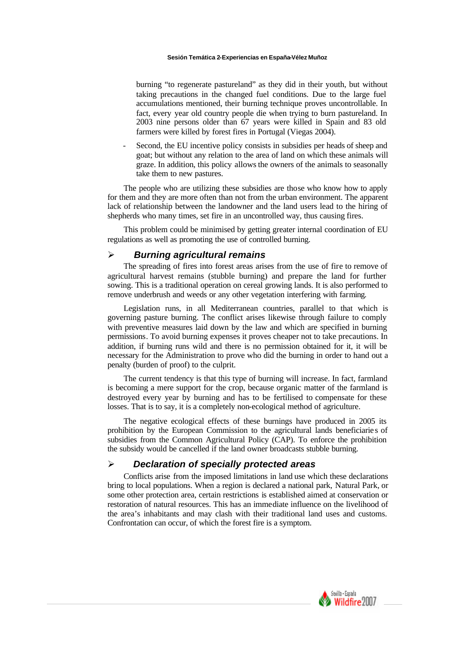burning "to regenerate pastureland" as they did in their youth, but without taking precautions in the changed fuel conditions. Due to the large fuel accumulations mentioned, their burning technique proves uncontrollable. In fact, every year old country people die when trying to burn pastureland. In 2003 nine persons older than 67 years were killed in Spain and 83 old farmers were killed by forest fires in Portugal (Viegas 2004).

Second, the EU incentive policy consists in subsidies per heads of sheep and goat; but without any relation to the area of land on which these animals will graze. In addition, this policy allows the owners of the animals to seasonally take them to new pastures.

The people who are utilizing these subsidies are those who know how to apply for them and they are more often than not from the urban environment. The apparent lack of relationship between the landowner and the land users lead to the hiring of shepherds who many times, set fire in an uncontrolled way, thus causing fires.

This problem could be minimised by getting greater internal coordination of EU regulations as well as promoting the use of controlled burning.

### ÿ *Burning agricultural remains*

The spreading of fires into forest areas arises from the use of fire to remove of agricultural harvest remains (stubble burning) and prepare the land for further sowing. This is a traditional operation on cereal growing lands. It is also performed to remove underbrush and weeds or any other vegetation interfering with farming.

Legislation runs, in all Mediterranean countries, parallel to that which is governing pasture burning. The conflict arises likewise through failure to comply with preventive measures laid down by the law and which are specified in burning permissions. To avoid burning expenses it proves cheaper not to take precautions. In addition, if burning runs wild and there is no permission obtained for it, it will be necessary for the Administration to prove who did the burning in order to hand out a penalty (burden of proof) to the culprit.

The current tendency is that this type of burning will increase. In fact, farmland is becoming a mere support for the crop, because organic matter of the farmland is destroyed every year by burning and has to be fertilised to compensate for these losses. That is to say, it is a completely non-ecological method of agriculture.

The negative ecological effects of these burnings have produced in 2005 its prohibition by the European Commission to the agricultural lands beneficiarie s of subsidies from the Common Agricultural Policy (CAP). To enforce the prohibition the subsidy would be cancelled if the land owner broadcasts stubble burning.

### ÿ *Declaration of specially protected areas*

Conflicts arise from the imposed limitations in land use which these declarations bring to local populations. When a region is declared a national park, Natural Park, or some other protection area, certain restrictions is established aimed at conservation or restoration of natural resources. This has an immediate influence on the livelihood of the area's inhabitants and may clash with their traditional land uses and customs. Confrontation can occur, of which the forest fire is a symptom.

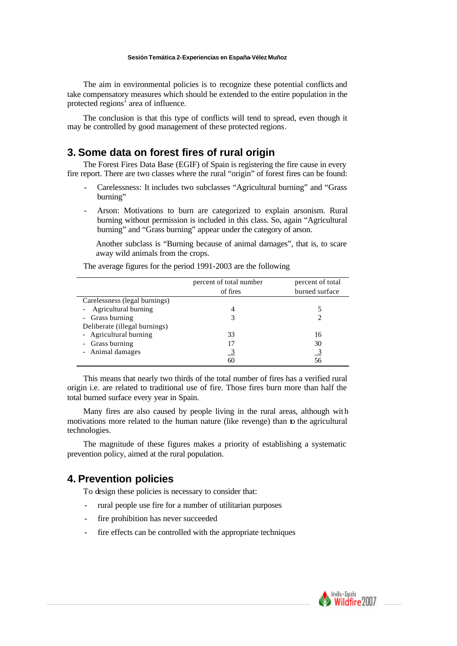The aim in environmental policies is to recognize these potential conflicts and take compensatory measures which should be extended to the entire population in the protected regions' area of influence.

The conclusion is that this type of conflicts will tend to spread, even though it may be controlled by good management of these protected regions.

# **3. Some data on forest fires of rural origin**

The Forest Fires Data Base (EGIF) of Spain is registering the fire cause in every fire report. There are two classes where the rural "origin" of forest fires can be found:

- Carelessness: It includes two subclasses "Agricultural burning" and "Grass" burning"
- Arson: Motivations to burn are categorized to explain arsonism. Rural burning without permission is included in this class. So, again "Agricultural burning" and "Grass burning" appear under the category of arson.

Another subclass is "Burning because of animal damages", that is, to scare away wild animals from the crops.

The average figures for the period 1991-2003 are the following

|                               | percent of total number | percent of total |
|-------------------------------|-------------------------|------------------|
|                               | of fires                | burned surface   |
| Carelessness (legal burnings) |                         |                  |
| - Agricultural burning        |                         |                  |
| - Grass burning               |                         |                  |
| Deliberate (illegal burnings) |                         |                  |
| - Agricultural burning        | 33                      | 16               |
| - Grass burning               | 17                      | 30               |
| - Animal damages              |                         |                  |
|                               | 60                      | 56               |

This means that nearly two thirds of the total number of fires has a verified rural origin i.e. are related to traditional use of fire. Those fires burn more than half the total burned surface every year in Spain.

Many fires are also caused by people living in the rural areas, although with motivations more related to the human nature (like revenge) than to the agricultural technologies.

The magnitude of these figures makes a priority of establishing a systematic prevention policy, aimed at the rural population.

# **4. Prevention policies**

To design these policies is necessary to consider that:

- rural people use fire for a number of utilitarian purposes
- fire prohibition has never succeeded
- fire effects can be controlled with the appropriate techniques

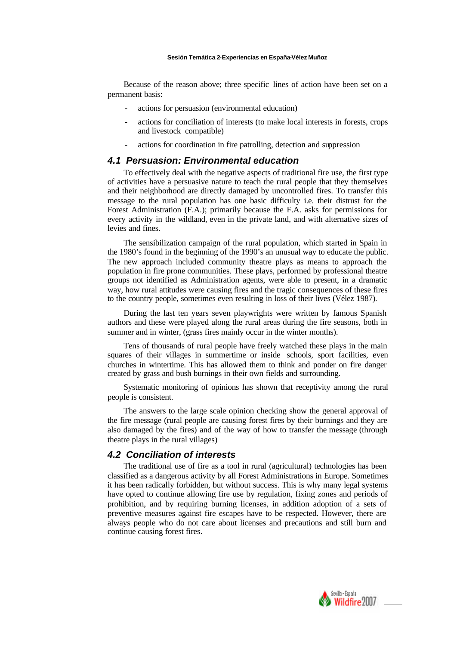Because of the reason above; three specific lines of action have been set on a permanent basis:

- actions for persuasion (environmental education)
- actions for conciliation of interests (to make local interests in forests, crops and livestock compatible)
- actions for coordination in fire patrolling, detection and suppression

# *4.1 Persuasion: Environmental education*

To effectively deal with the negative aspects of traditional fire use, the first type of activities have a persuasive nature to teach the rural people that they themselves and their neighborhood are directly damaged by uncontrolled fires. To transfer this message to the rural population has one basic difficulty i.e. their distrust for the Forest Administration (F.A.); primarily because the F.A. asks for permissions for every activity in the wildland, even in the private land, and with alternative sizes of levies and fines.

The sensibilization campaign of the rural population, which started in Spain in the 1980's found in the beginning of the 1990's an unusual way to educate the public. The new approach included community theatre plays as means to approach the population in fire prone communities. These plays, performed by professional theatre groups not identified as Administration agents, were able to present, in a dramatic way, how rural attitudes were causing fires and the tragic consequences of these fires to the country people, sometimes even resulting in loss of their lives (Vélez 1987).

During the last ten years seven playwrights were written by famous Spanish authors and these were played along the rural areas during the fire seasons, both in summer and in winter, (grass fires mainly occur in the winter months).

Tens of thousands of rural people have freely watched these plays in the main squares of their villages in summertime or inside schools, sport facilities, even churches in wintertime. This has allowed them to think and ponder on fire danger created by grass and bush burnings in their own fields and surrounding.

Systematic monitoring of opinions has shown that receptivity among the rural people is consistent.

The answers to the large scale opinion checking show the general approval of the fire message (rural people are causing forest fires by their burnings and they are also damaged by the fires) and of the way of how to transfer the message (through theatre plays in the rural villages)

# *4.2 Conciliation of interests*

The traditional use of fire as a tool in rural (agricultural) technologies has been classified as a dangerous activity by all Forest Administrations in Europe. Sometimes it has been radically forbidden, but without success. This is why many legal systems have opted to continue allowing fire use by regulation, fixing zones and periods of prohibition, and by requiring burning licenses, in addition adoption of a sets of preventive measures against fire escapes have to be respected. However, there are always people who do not care about licenses and precautions and still burn and continue causing forest fires.

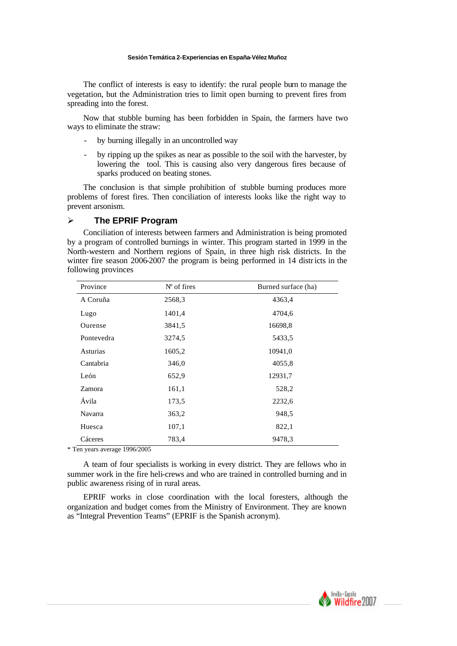The conflict of interests is easy to identify: the rural people burn to manage the vegetation, but the Administration tries to limit open burning to prevent fires from spreading into the forest.

Now that stubble burning has been forbidden in Spain, the farmers have two ways to eliminate the straw:

- by burning illegally in an uncontrolled way
- by ripping up the spikes as near as possible to the soil with the harvester, by lowering the tool. This is causing also very dangerous fires because of sparks produced on beating stones.

The conclusion is that simple prohibition of stubble burning produces more problems of forest fires. Then conciliation of interests looks like the right way to prevent arsonism.

### ÿ **The EPRIF Program**

Conciliation of interests between farmers and Administration is being promoted by a program of controlled burnings in winter. This program started in 1999 in the North-western and Northern regions of Spain, in three high risk districts. In the winter fire season 2006-2007 the program is being performed in 14 districts in the following provinces

| Province                                                                        | $N^{\circ}$ of fires | Burned surface (ha) |  |
|---------------------------------------------------------------------------------|----------------------|---------------------|--|
| A Coruña                                                                        | 2568,3               | 4363,4              |  |
| Lugo                                                                            | 1401,4               | 4704,6              |  |
| Ourense                                                                         | 3841,5               | 16698,8             |  |
| Pontevedra                                                                      | 3274,5               | 5433.5              |  |
| Asturias                                                                        | 1605,2               | 10941,0             |  |
| Cantabria                                                                       | 346,0                | 4055,8              |  |
| León                                                                            | 652,9                | 12931,7             |  |
| Zamora                                                                          | 161,1                | 528,2               |  |
| Ávila                                                                           | 173,5                | 2232,6              |  |
| <b>Navarra</b>                                                                  | 363,2                | 948,5               |  |
| Huesca                                                                          | 107,1                | 822,1               |  |
| Cáceres<br>$\cdots$ $\cdots$ $\cdots$ $\cdots$ $\cdots$ $\cdots$ $\cdots$<br>T. | 783,4                | 9478,3              |  |

\* Ten years average 1996/2005

A team of four specialists is working in every district. They are fellows who in summer work in the fire heli-crews and who are trained in controlled burning and in public awareness rising of in rural areas.

EPRIF works in close coordination with the local foresters, although the organization and budget comes from the Ministry of Environment. They are known as "Integral Prevention Teams" (EPRIF is the Spanish acronym).

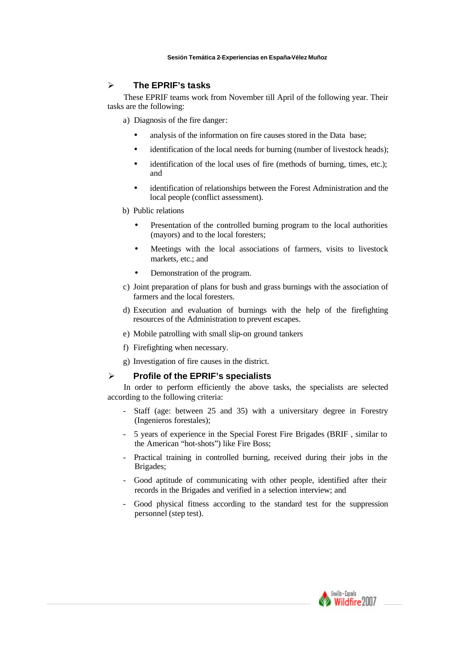## ÿ **The EPRIF's tasks**

These EPRIF teams work from November till April of the following year. Their tasks are the following:

a) Diagnosis of the fire danger:

- analysis of the information on fire causes stored in the Data base;
- identification of the local needs for burning (number of livestock heads);
- identification of the local uses of fire (methods of burning, times, etc.); and
- identification of relationships between the Forest Administration and the local people (conflict assessment).

b) Public relations

- Presentation of the controlled burning program to the local authorities (mayors) and to the local foresters;
- Meetings with the local associations of farmers, visits to livestock markets, etc.; and
- Demonstration of the program.
- c) Joint preparation of plans for bush and grass burnings with the association of farmers and the local foresters.
- d) Execution and evaluation of burnings with the help of the firefighting resources of the Administration to prevent escapes.
- e) Mobile patrolling with small slip-on ground tankers
- f) Firefighting when necessary.
- g) Investigation of fire causes in the district.

### ÿ **Profile of the EPRIF's specialists**

In order to perform efficiently the above tasks, the specialists are selected according to the following criteria:

- Staff (age: between 25 and 35) with a universitary degree in Forestry (Ingenieros forestales);
- 5 years of experience in the Special Forest Fire Brigades (BRIF , similar to the American "hot-shots") like Fire Boss;
- Practical training in controlled burning, received during their jobs in the Brigades;
- Good aptitude of communicating with other people, identified after their records in the Brigades and verified in a selection interview; and
- Good physical fitness according to the standard test for the suppression personnel (step test).

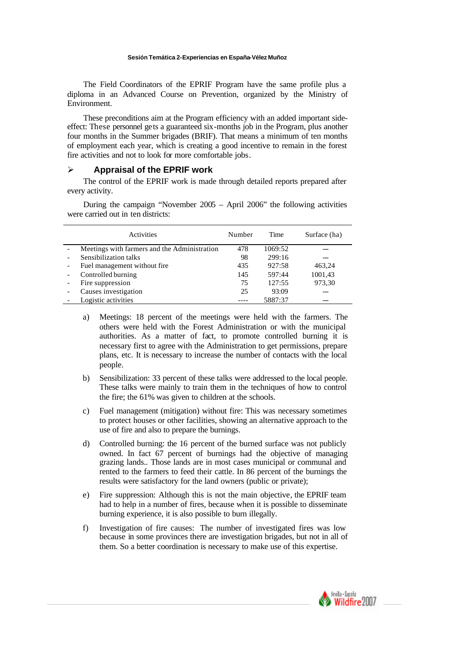The Field Coordinators of the EPRIF Program have the same profile plus a diploma in an Advanced Course on Prevention, organized by the Ministry of Environment.

These preconditions aim at the Program efficiency with an added important sideeffect: These personnel gets a guaranteed six-months job in the Program, plus another four months in the Summer brigades (BRIF). That means a minimum of ten months of employment each year, which is creating a good incentive to remain in the forest fire activities and not to look for more comfortable jobs.

### ÿ **Appraisal of the EPRIF work**

The control of the EPRIF work is made through detailed reports prepared after every activity.

During the campaign "November 2005 – April 2006" the following activities were carried out in ten districts:

|                          | Activities                                   | Number | Time    | Surface (ha) |
|--------------------------|----------------------------------------------|--------|---------|--------------|
|                          | Meetings with farmers and the Administration | 478    | 1069:52 |              |
|                          | Sensibilization talks                        | 98     | 299:16  |              |
|                          | Fuel management without fire.                | 435    | 927:58  | 463,24       |
|                          | Controlled burning                           | 145    | 597:44  | 1001,43      |
|                          | Fire suppression                             | 75     | 127:55  | 973,30       |
| $\overline{\phantom{a}}$ | Causes investigation                         | 25     | 93:09   |              |
|                          | Logistic activities                          | ----   | 5887:37 |              |

- a) Meetings: 18 percent of the meetings were held with the farmers. The others were held with the Forest Administration or with the municipal authorities. As a matter of fact, to promote controlled burning it is necessary first to agree with the Administration to get permissions, prepare plans, etc. It is necessary to increase the number of contacts with the local people.
- b) Sensibilization: 33 percent of these talks were addressed to the local people. These talks were mainly to train them in the techniques of how to control the fire; the 61% was given to children at the schools.
- c) Fuel management (mitigation) without fire: This was necessary sometimes to protect houses or other facilities, showing an alternative approach to the use of fire and also to prepare the burnings.
- d) Controlled burning: the 16 percent of the burned surface was not publicly owned. In fact 67 percent of burnings had the objective of managing grazing lands.. Those lands are in most cases municipal or communal and rented to the farmers to feed their cattle. In 86 percent of the burnings the results were satisfactory for the land owners (public or private);
- e) Fire suppression: Although this is not the main objective, the EPRIF team had to help in a number of fires, because when it is possible to disseminate burning experience, it is also possible to burn illegally.
- f) Investigation of fire causes: The number of investigated fires was low because in some provinces there are investigation brigades, but not in all of them. So a better coordination is necessary to make use of this expertise.

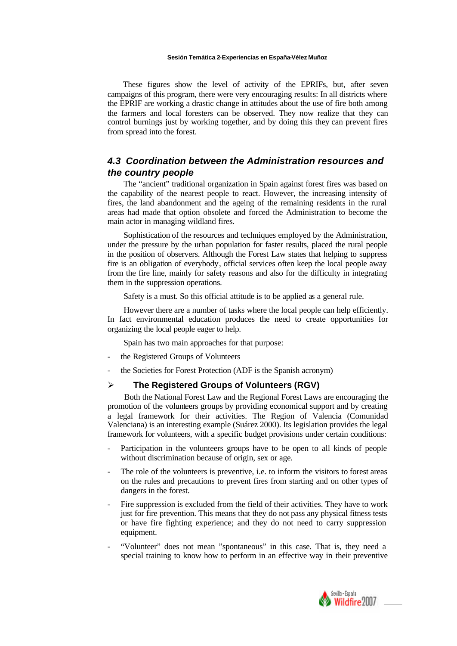These figures show the level of activity of the EPRIFs, but, after seven campaigns of this program, there were very encouraging results: In all districts where the EPRIF are working a drastic change in attitudes about the use of fire both among the farmers and local foresters can be observed. They now realize that they can control burnings just by working together, and by doing this they can prevent fires from spread into the forest.

# *4.3 Coordination between the Administration resources and the country people*

The "ancient" traditional organization in Spain against forest fires was based on the capability of the nearest people to react. However, the increasing intensity of fires, the land abandonment and the ageing of the remaining residents in the rural areas had made that option obsolete and forced the Administration to become the main actor in managing wildland fires.

Sophistication of the resources and techniques employed by the Administration, under the pressure by the urban population for faster results, placed the rural people in the position of observers. Although the Forest Law states that helping to suppress fire is an obligation of everybody, official services often keep the local people away from the fire line, mainly for safety reasons and also for the difficulty in integrating them in the suppression operations.

Safety is a must. So this official attitude is to be applied as a general rule.

However there are a number of tasks where the local people can help efficiently. In fact environmental education produces the need to create opportunities for organizing the local people eager to help.

Spain has two main approaches for that purpose:

- the Registered Groups of Volunteers
- the Societies for Forest Protection (ADF is the Spanish acronym)

# ÿ **The Registered Groups of Volunteers (RGV)**

Both the National Forest Law and the Regional Forest Laws are encouraging the promotion of the volunteers groups by providing economical support and by creating a legal framework for their activities. The Region of Valencia (Comunidad Valenciana) is an interesting example (Suárez 2000). Its legislation provides the legal framework for volunteers, with a specific budget provisions under certain conditions:

- Participation in the volunteers groups have to be open to all kinds of people without discrimination because of origin, sex or age.
- The role of the volunteers is preventive, i.e. to inform the visitors to forest areas on the rules and precautions to prevent fires from starting and on other types of dangers in the forest.
- Fire suppression is excluded from the field of their activities. They have to work just for fire prevention. This means that they do not pass any physical fitness tests or have fire fighting experience; and they do not need to carry suppression equipment.
- "Volunteer" does not mean "spontaneous" in this case. That is, they need a special training to know how to perform in an effective way in their preventive

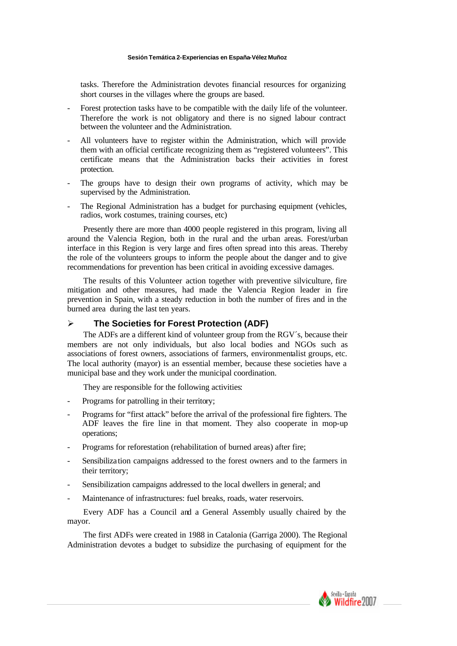tasks. Therefore the Administration devotes financial resources for organizing short courses in the villages where the groups are based.

- Forest protection tasks have to be compatible with the daily life of the volunteer. Therefore the work is not obligatory and there is no signed labour contract between the volunteer and the Administration.
- All volunteers have to register within the Administration, which will provide them with an official certificate recognizing them as "registered volunteers". This certificate means that the Administration backs their activities in forest protection.
- The groups have to design their own programs of activity, which may be supervised by the Administration.
- The Regional Administration has a budget for purchasing equipment (vehicles, radios, work costumes, training courses, etc)

Presently there are more than 4000 people registered in this program, living all around the Valencia Region, both in the rural and the urban areas. Forest/urban interface in this Region is very large and fires often spread into this areas. Thereby the role of the volunteers groups to inform the people about the danger and to give recommendations for prevention has been critical in avoiding excessive damages.

The results of this Volunteer action together with preventive silviculture, fire mitigation and other measures, had made the Valencia Region leader in fire prevention in Spain, with a steady reduction in both the number of fires and in the burned area during the last ten years.

# ÿ **The Societies for Forest Protection (ADF)**

The ADFs are a different kind of volunteer group from the RGV´s, because their members are not only individuals, but also local bodies and NGOs such as associations of forest owners, associations of farmers, environmentalist groups, etc. The local authority (mayor) is an essential member, because these societies have a municipal base and they work under the municipal coordination.

They are responsible for the following activities:

- Programs for patrolling in their territory;
- Programs for "first attack" before the arrival of the professional fire fighters. The ADF leaves the fire line in that moment. They also cooperate in mop-up operations;
- Programs for reforestation (rehabilitation of burned areas) after fire;
- Sensibilization campaigns addressed to the forest owners and to the farmers in their territory;
- Sensibilization campaigns addressed to the local dwellers in general; and
- Maintenance of infrastructures: fuel breaks, roads, water reservoirs.

Every ADF has a Council and a General Assembly usually chaired by the mayor.

The first ADFs were created in 1988 in Catalonia (Garriga 2000). The Regional Administration devotes a budget to subsidize the purchasing of equipment for the

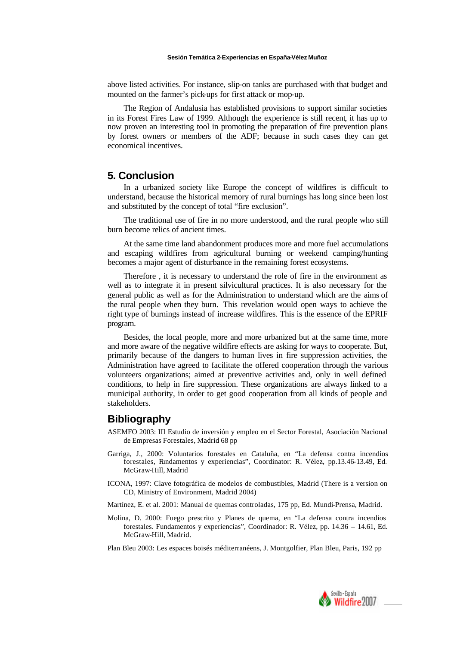above listed activities. For instance, slip-on tanks are purchased with that budget and mounted on the farmer's pick-ups for first attack or mop-up.

The Region of Andalusia has established provisions to support similar societies in its Forest Fires Law of 1999. Although the experience is still recent, it has up to now proven an interesting tool in promoting the preparation of fire prevention plans by forest owners or members of the ADF; because in such cases they can get economical incentives.

# **5. Conclusion**

In a urbanized society like Europe the concept of wildfires is difficult to understand, because the historical memory of rural burnings has long since been lost and substituted by the concept of total "fire exclusion".

The traditional use of fire in no more understood, and the rural people who still burn become relics of ancient times.

At the same time land abandonment produces more and more fuel accumulations and escaping wildfires from agricultural burning or weekend camping/hunting becomes a major agent of disturbance in the remaining forest ecosystems.

Therefore , it is necessary to understand the role of fire in the environment as well as to integrate it in present silvicultural practices. It is also necessary for the general public as well as for the Administration to understand which are the aims of the rural people when they burn. This revelation would open ways to achieve the right type of burnings instead of increase wildfires. This is the essence of the EPRIF program.

Besides, the local people, more and more urbanized but at the same time, more and more aware of the negative wildfire effects are asking for ways to cooperate. But, primarily because of the dangers to human lives in fire suppression activities, the Administration have agreed to facilitate the offered cooperation through the various volunteers organizations; aimed at preventive activities and, only in well defined conditions, to help in fire suppression. These organizations are always linked to a municipal authority, in order to get good cooperation from all kinds of people and stakeholders.

# **Bibliography**

- ASEMFO 2003: III Estudio de inversión y empleo en el Sector Forestal, Asociación Nacional de Empresas Forestales, Madrid 68 pp
- Garriga, J., 2000: Voluntarios forestales en Cataluña, en "La defensa contra incendios forestales, Fundamentos y experiencias", Coordinator: R. Vélez, pp.13.46-13.49, Ed. McGraw-Hill, Madrid
- ICONA, 1997: Clave fotográfica de modelos de combustibles, Madrid (There is a version on CD, Ministry of Environment, Madrid 2004)
- Martínez, E. et al. 2001: Manual de quemas controladas, 175 pp, Ed. Mundi-Prensa, Madrid.
- Molina, D. 2000: Fuego prescrito y Planes de quema, en "La defensa contra incendios forestales. Fundamentos y experiencias", Coordinador: R. Vélez, pp. 14.36 – 14.61, Ed. McGraw-Hill, Madrid.
- Plan Bleu 2003: Les espaces boisés méditerranéens, J. Montgolfier, Plan Bleu, Paris, 192 pp